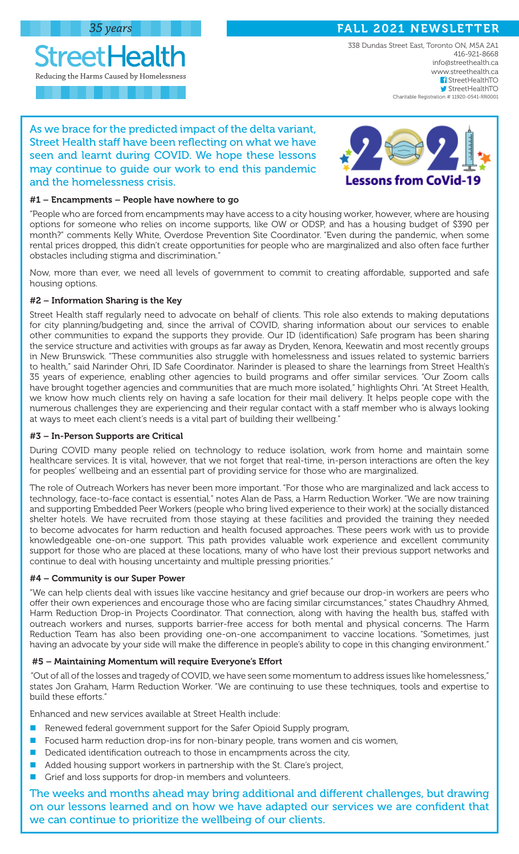Reducing the Harms Caused by Homelessness

**StreetHealth** 

FALL 2021 NEWSLETTER

338 Dundas Street East, Toronto ON, M5A 2A1 416-921-8668 info@streethealth.ca www.streethealth.ca f StreetHealthTO StreetHealthTO Charitable Registration # 11920-0541-RR0001

## As we brace for the predicted impact of the delta variant, Street Health staff have been reflecting on what we have seen and learnt during COVID. We hope these lessons may continue to guide our work to end this pandemic and the homelessness crisis.



## #1 – Encampments – People have nowhere to go

"People who are forced from encampments may have access to a city housing worker, however, where are housing options for someone who relies on income supports, like OW or ODSP, and has a housing budget of \$390 per month?" comments Kelly White, Overdose Prevention Site Coordinator. "Even during the pandemic, when some rental prices dropped, this didn't create opportunities for people who are marginalized and also often face further obstacles including stigma and discrimination."

Now, more than ever, we need all levels of government to commit to creating affordable, supported and safe housing options.

## #2 – Information Sharing is the Key

Street Health staff regularly need to advocate on behalf of clients. This role also extends to making deputations for city planning/budgeting and, since the arrival of COVID, sharing information about our services to enable other communities to expand the supports they provide. Our ID (identification) Safe program has been sharing the service structure and activities with groups as far away as Dryden, Kenora, Keewatin and most recently groups in New Brunswick. "These communities also struggle with homelessness and issues related to systemic barriers to health," said Narinder Ohri, ID Safe Coordinator. Narinder is pleased to share the learnings from Street Health's 35 years of experience, enabling other agencies to build programs and offer similar services. "Our Zoom calls have brought together agencies and communities that are much more isolated," highlights Ohri. "At Street Health, we know how much clients rely on having a safe location for their mail delivery. It helps people cope with the numerous challenges they are experiencing and their regular contact with a staff member who is always looking at ways to meet each client's needs is a vital part of building their wellbeing."

## #3 – In-Person Supports are Critical

During COVID many people relied on technology to reduce isolation, work from home and maintain some healthcare services. It is vital, however, that we not forget that real-time, in-person interactions are often the key for peoples' wellbeing and an essential part of providing service for those who are marginalized.

The role of Outreach Workers has never been more important. "For those who are marginalized and lack access to technology, face-to-face contact is essential," notes Alan de Pass, a Harm Reduction Worker. "We are now training and supporting Embedded Peer Workers (people who bring lived experience to their work) at the socially distanced shelter hotels. We have recruited from those staying at these facilities and provided the training they needed to become advocates for harm reduction and health focused approaches. These peers work with us to provide knowledgeable one-on-one support. This path provides valuable work experience and excellent community support for those who are placed at these locations, many of who have lost their previous support networks and continue to deal with housing uncertainty and multiple pressing priorities."

## #4 – Community is our Super Power

"We can help clients deal with issues like vaccine hesitancy and grief because our drop-in workers are peers who offer their own experiences and encourage those who are facing similar circumstances," states Chaudhry Ahmed, Harm Reduction Drop-in Projects Coordinator. That connection, along with having the health bus, staffed with outreach workers and nurses, supports barrier-free access for both mental and physical concerns. The Harm Reduction Team has also been providing one-on-one accompaniment to vaccine locations. "Sometimes, just having an advocate by your side will make the difference in people's ability to cope in this changing environment."

## #5 – Maintaining Momentum will require Everyone's Effort

 "Out of all of the losses and tragedy of COVID, we have seen some momentum to address issues like homelessness," states Jon Graham, Harm Reduction Worker. "We are continuing to use these techniques, tools and expertise to build these efforts."

Enhanced and new services available at Street Health include:

- Renewed federal government support for the Safer Opioid Supply program,
- Focused harm reduction drop-ins for non-binary people, trans women and cis women,
- Dedicated identification outreach to those in encampments across the city,
- Added housing support workers in partnership with the St. Clare's project,
- Grief and loss supports for drop-in members and volunteers.

The weeks and months ahead may bring additional and different challenges, but drawing on our lessons learned and on how we have adapted our services we are confident that we can continue to prioritize the wellbeing of our clients.